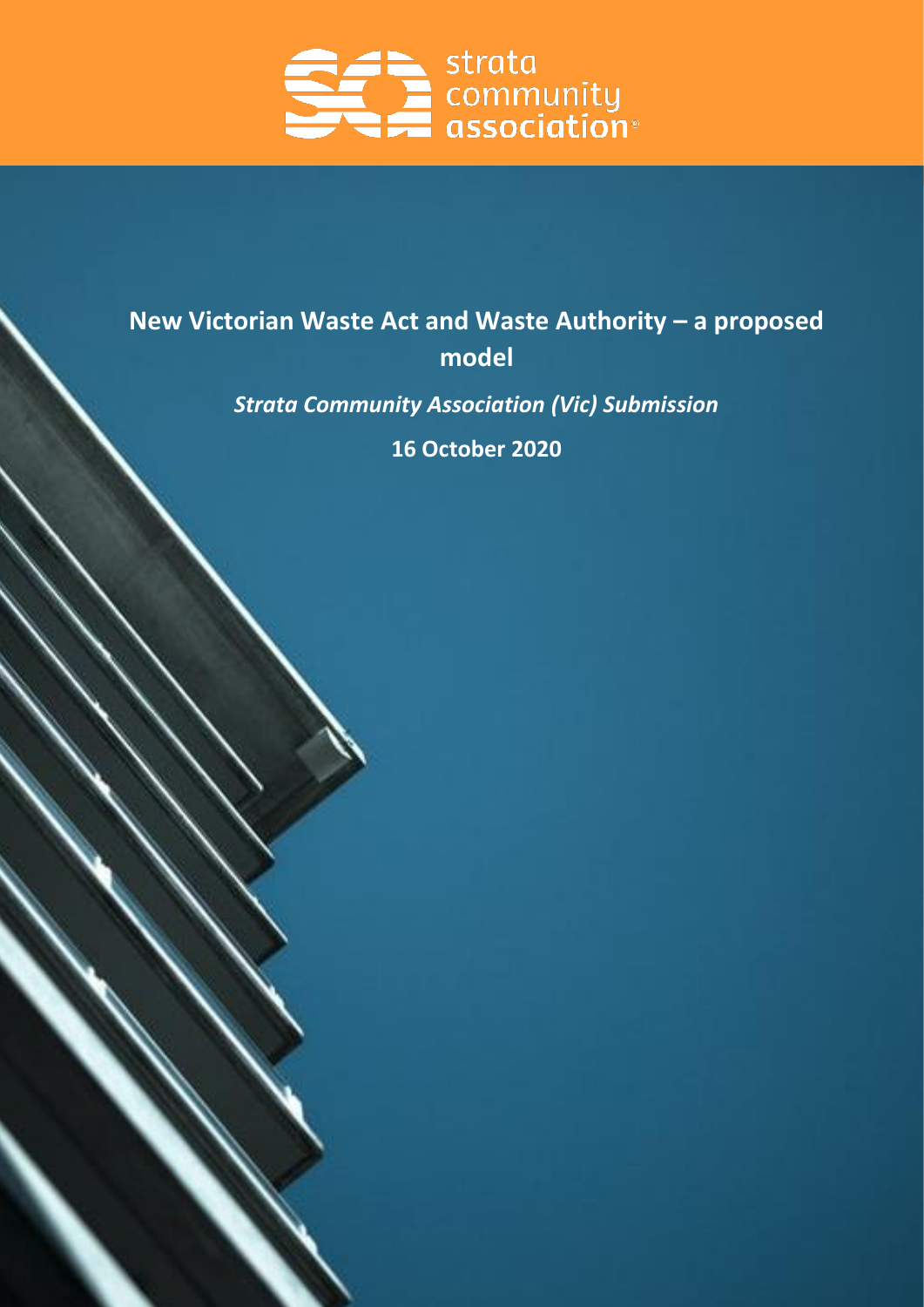

# **New Victorian Waste Act and Waste Authority – a proposed model**

*Strata Community Association (Vic) Submission*

**16 October 2020**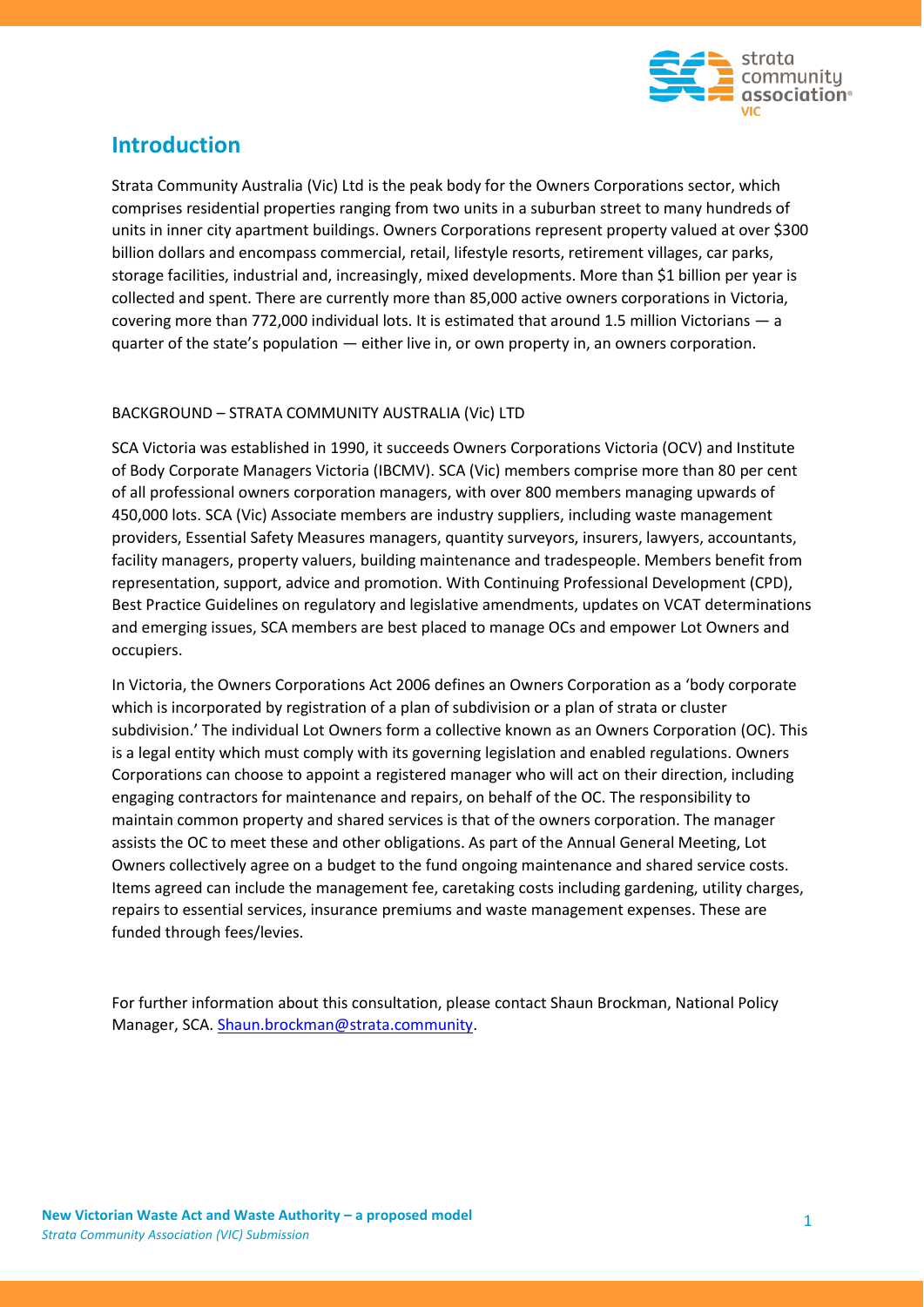

# **Introduction**

Strata Community Australia (Vic) Ltd is the peak body for the Owners Corporations sector, which comprises residential properties ranging from two units in a suburban street to many hundreds of units in inner city apartment buildings. Owners Corporations represent property valued at over \$300 billion dollars and encompass commercial, retail, lifestyle resorts, retirement villages, car parks, storage facilities, industrial and, increasingly, mixed developments. More than \$1 billion per year is collected and spent. There are currently more than 85,000 active owners corporations in Victoria, covering more than 772,000 individual lots. It is estimated that around 1.5 million Victorians — a quarter of the state's population — either live in, or own property in, an owners corporation.

#### BACKGROUND – STRATA COMMUNITY AUSTRALIA (Vic) LTD

SCA Victoria was established in 1990, it succeeds Owners Corporations Victoria (OCV) and Institute of Body Corporate Managers Victoria (IBCMV). SCA (Vic) members comprise more than 80 per cent of all professional owners corporation managers, with over 800 members managing upwards of 450,000 lots. SCA (Vic) Associate members are industry suppliers, including waste management providers, Essential Safety Measures managers, quantity surveyors, insurers, lawyers, accountants, facility managers, property valuers, building maintenance and tradespeople. Members benefit from representation, support, advice and promotion. With Continuing Professional Development (CPD), Best Practice Guidelines on regulatory and legislative amendments, updates on VCAT determinations and emerging issues, SCA members are best placed to manage OCs and empower Lot Owners and occupiers.

In Victoria, the Owners Corporations Act 2006 defines an Owners Corporation as a 'body corporate which is incorporated by registration of a plan of subdivision or a plan of strata or cluster subdivision.' The individual Lot Owners form a collective known as an Owners Corporation (OC). This is a legal entity which must comply with its governing legislation and enabled regulations. Owners Corporations can choose to appoint a registered manager who will act on their direction, including engaging contractors for maintenance and repairs, on behalf of the OC. The responsibility to maintain common property and shared services is that of the owners corporation. The manager assists the OC to meet these and other obligations. As part of the Annual General Meeting, Lot Owners collectively agree on a budget to the fund ongoing maintenance and shared service costs. Items agreed can include the management fee, caretaking costs including gardening, utility charges, repairs to essential services, insurance premiums and waste management expenses. These are funded through fees/levies.

For further information about this consultation, please contact Shaun Brockman, National Policy Manager, SCA. [Shaun.brockman@strata.community.](mailto:Shaun.brockman@strata.community)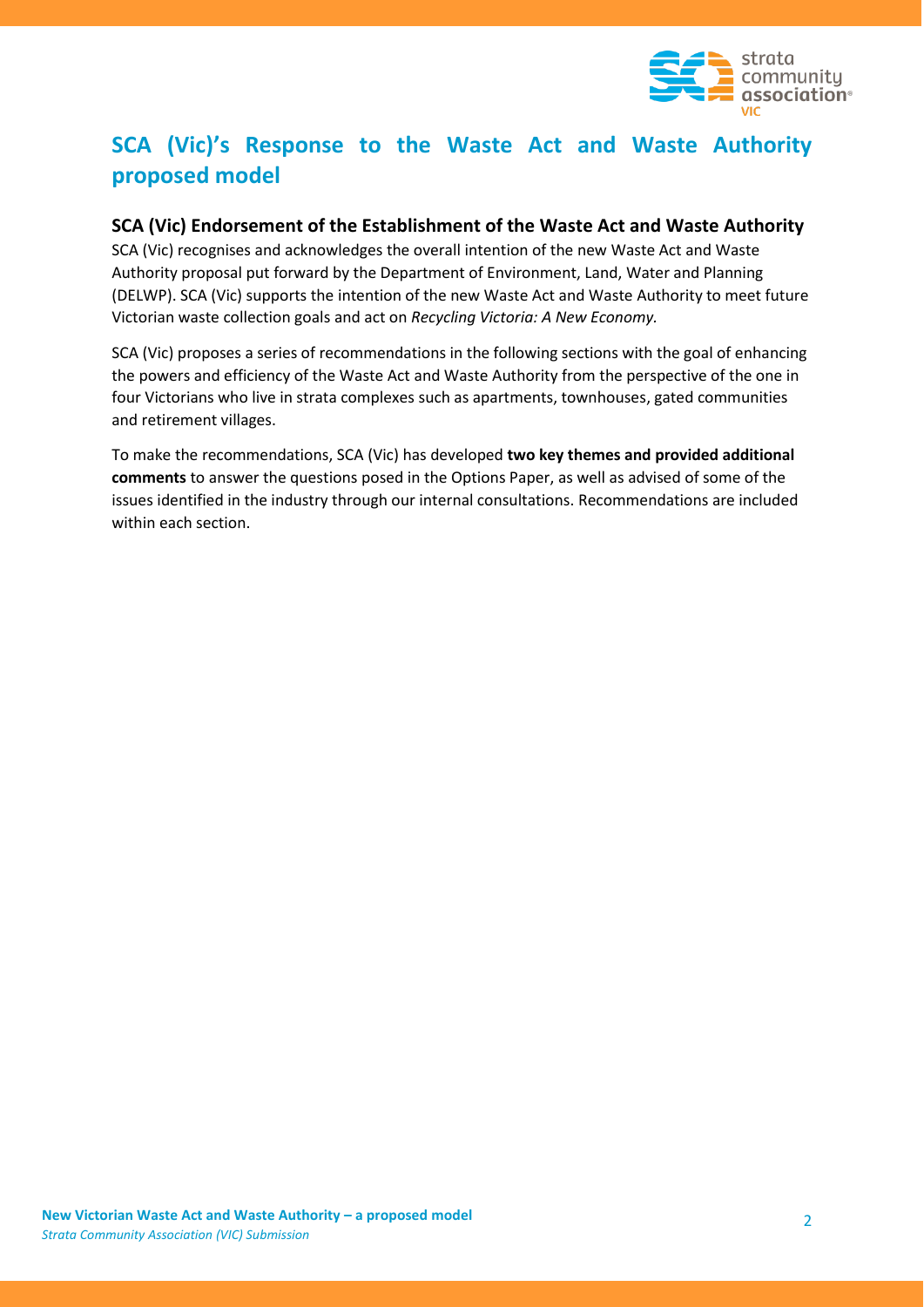

# **SCA (Vic)'s Response to the Waste Act and Waste Authority proposed model**

# **SCA (Vic) Endorsement of the Establishment of the Waste Act and Waste Authority**

SCA (Vic) recognises and acknowledges the overall intention of the new Waste Act and Waste Authority proposal put forward by the Department of Environment, Land, Water and Planning (DELWP). SCA (Vic) supports the intention of the new Waste Act and Waste Authority to meet future Victorian waste collection goals and act on *Recycling Victoria: A New Economy.*

SCA (Vic) proposes a series of recommendations in the following sections with the goal of enhancing the powers and efficiency of the Waste Act and Waste Authority from the perspective of the one in four Victorians who live in strata complexes such as apartments, townhouses, gated communities and retirement villages.

To make the recommendations, SCA (Vic) has developed **two key themes and provided additional comments** to answer the questions posed in the Options Paper, as well as advised of some of the issues identified in the industry through our internal consultations. Recommendations are included within each section.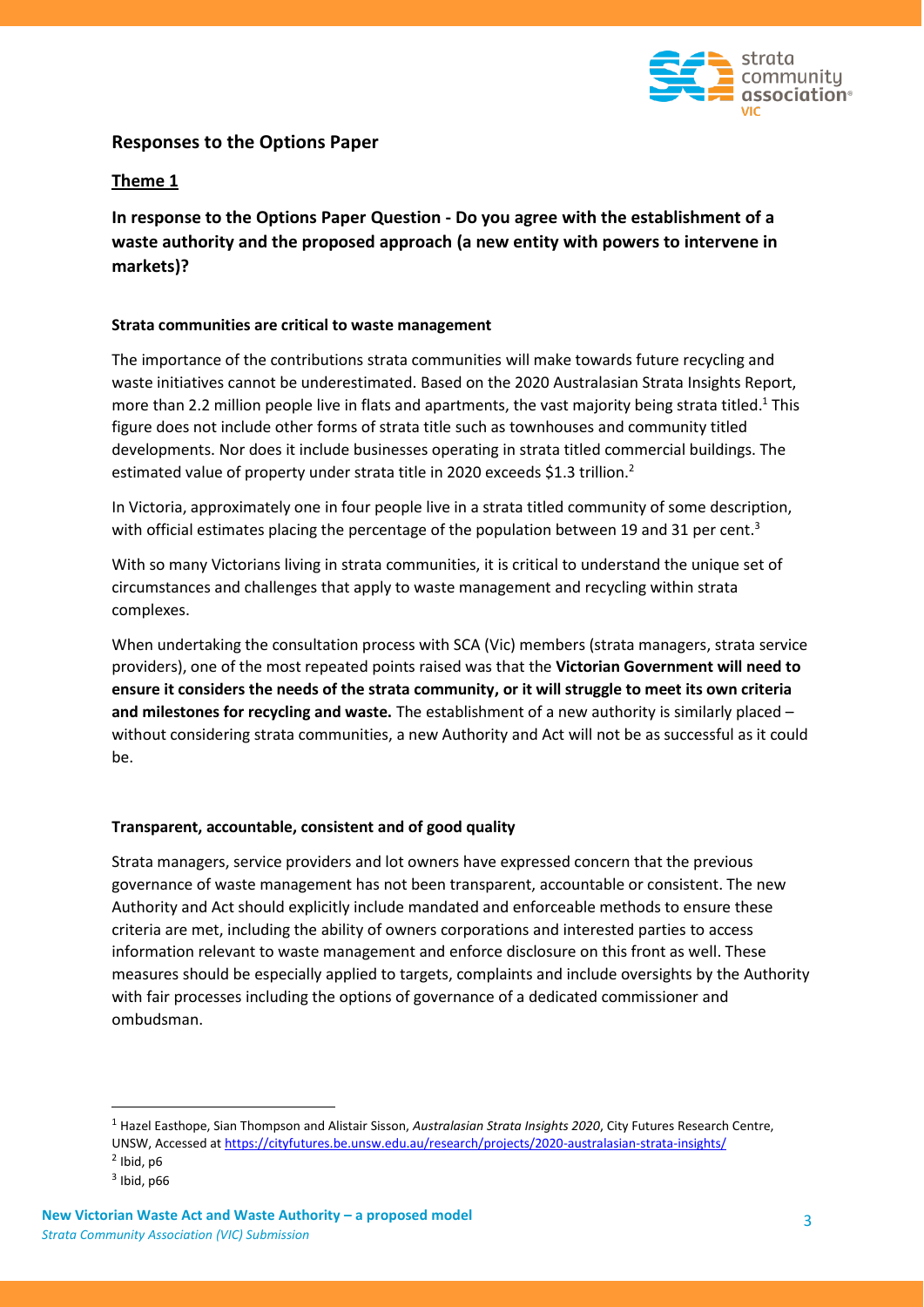

# **Responses to the Options Paper**

#### **Theme 1**

**In response to the Options Paper Question - Do you agree with the establishment of a waste authority and the proposed approach (a new entity with powers to intervene in markets)?**

#### **Strata communities are critical to waste management**

The importance of the contributions strata communities will make towards future recycling and waste initiatives cannot be underestimated. Based on the 2020 Australasian Strata Insights Report, more than 2.2 million people live in flats and apartments, the vast majority being strata titled.<sup>1</sup> This figure does not include other forms of strata title such as townhouses and community titled developments. Nor does it include businesses operating in strata titled commercial buildings. The estimated value of property under strata title in 2020 exceeds \$1.3 trillion.<sup>2</sup>

In Victoria, approximately one in four people live in a strata titled community of some description, with official estimates placing the percentage of the population between 19 and 31 per cent.<sup>3</sup>

With so many Victorians living in strata communities, it is critical to understand the unique set of circumstances and challenges that apply to waste management and recycling within strata complexes.

When undertaking the consultation process with SCA (Vic) members (strata managers, strata service providers), one of the most repeated points raised was that the **Victorian Government will need to ensure it considers the needs of the strata community, or it will struggle to meet its own criteria and milestones for recycling and waste.** The establishment of a new authority is similarly placed – without considering strata communities, a new Authority and Act will not be as successful as it could be.

#### **Transparent, accountable, consistent and of good quality**

Strata managers, service providers and lot owners have expressed concern that the previous governance of waste management has not been transparent, accountable or consistent. The new Authority and Act should explicitly include mandated and enforceable methods to ensure these criteria are met, including the ability of owners corporations and interested parties to access information relevant to waste management and enforce disclosure on this front as well. These measures should be especially applied to targets, complaints and include oversights by the Authority with fair processes including the options of governance of a dedicated commissioner and ombudsman.

<sup>1</sup> Hazel Easthope, Sian Thompson and Alistair Sisson, *Australasian Strata Insights 2020*, City Futures Research Centre, UNSW, Accessed at<https://cityfutures.be.unsw.edu.au/research/projects/2020-australasian-strata-insights/>  $<sup>2</sup>$  Ibid, p6</sup>

 $3$  Ibid, p66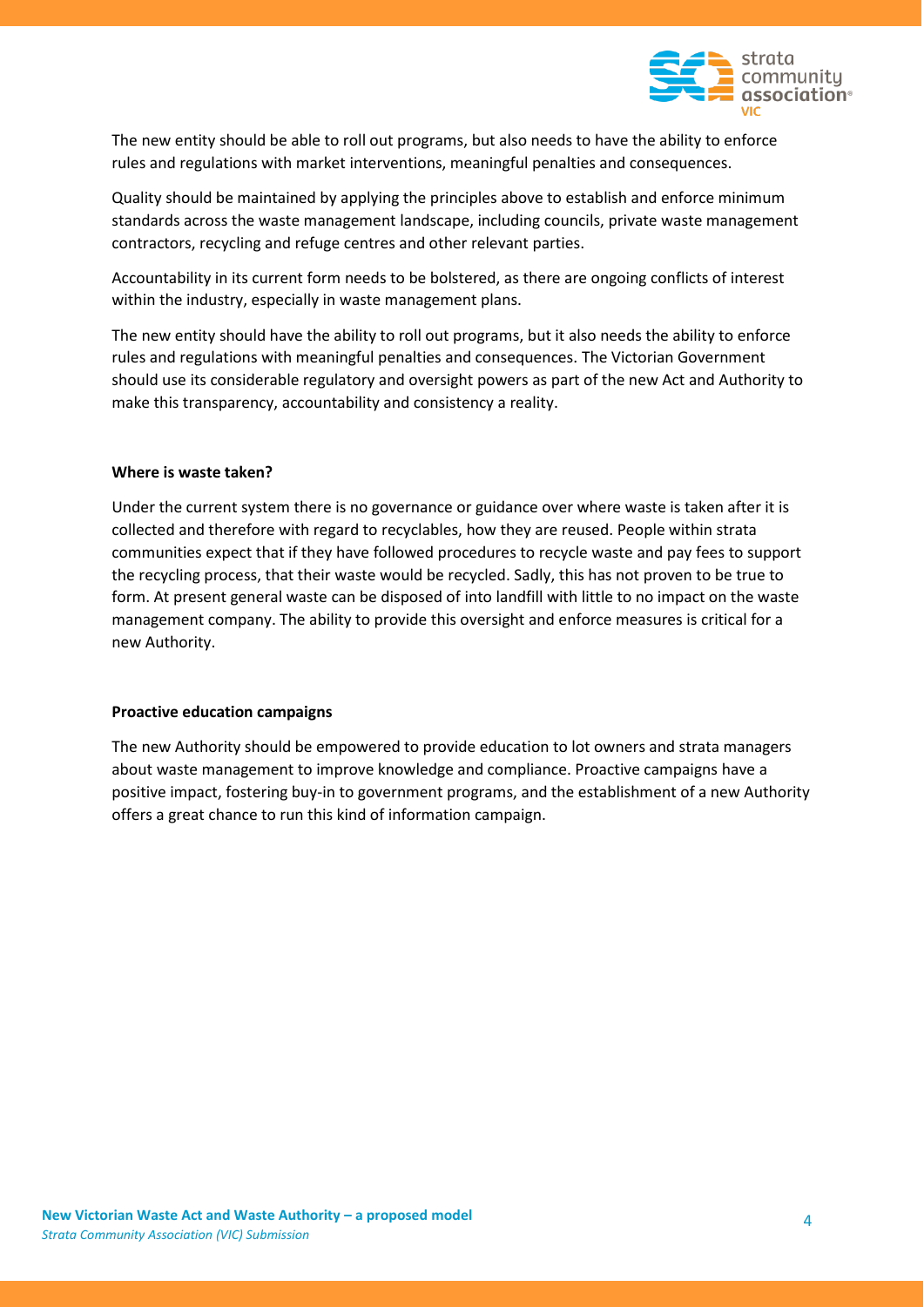

The new entity should be able to roll out programs, but also needs to have the ability to enforce rules and regulations with market interventions, meaningful penalties and consequences.

Quality should be maintained by applying the principles above to establish and enforce minimum standards across the waste management landscape, including councils, private waste management contractors, recycling and refuge centres and other relevant parties.

Accountability in its current form needs to be bolstered, as there are ongoing conflicts of interest within the industry, especially in waste management plans.

The new entity should have the ability to roll out programs, but it also needs the ability to enforce rules and regulations with meaningful penalties and consequences. The Victorian Government should use its considerable regulatory and oversight powers as part of the new Act and Authority to make this transparency, accountability and consistency a reality.

#### **Where is waste taken?**

Under the current system there is no governance or guidance over where waste is taken after it is collected and therefore with regard to recyclables, how they are reused. People within strata communities expect that if they have followed procedures to recycle waste and pay fees to support the recycling process, that their waste would be recycled. Sadly, this has not proven to be true to form. At present general waste can be disposed of into landfill with little to no impact on the waste management company. The ability to provide this oversight and enforce measures is critical for a new Authority.

#### **Proactive education campaigns**

The new Authority should be empowered to provide education to lot owners and strata managers about waste management to improve knowledge and compliance. Proactive campaigns have a positive impact, fostering buy-in to government programs, and the establishment of a new Authority offers a great chance to run this kind of information campaign.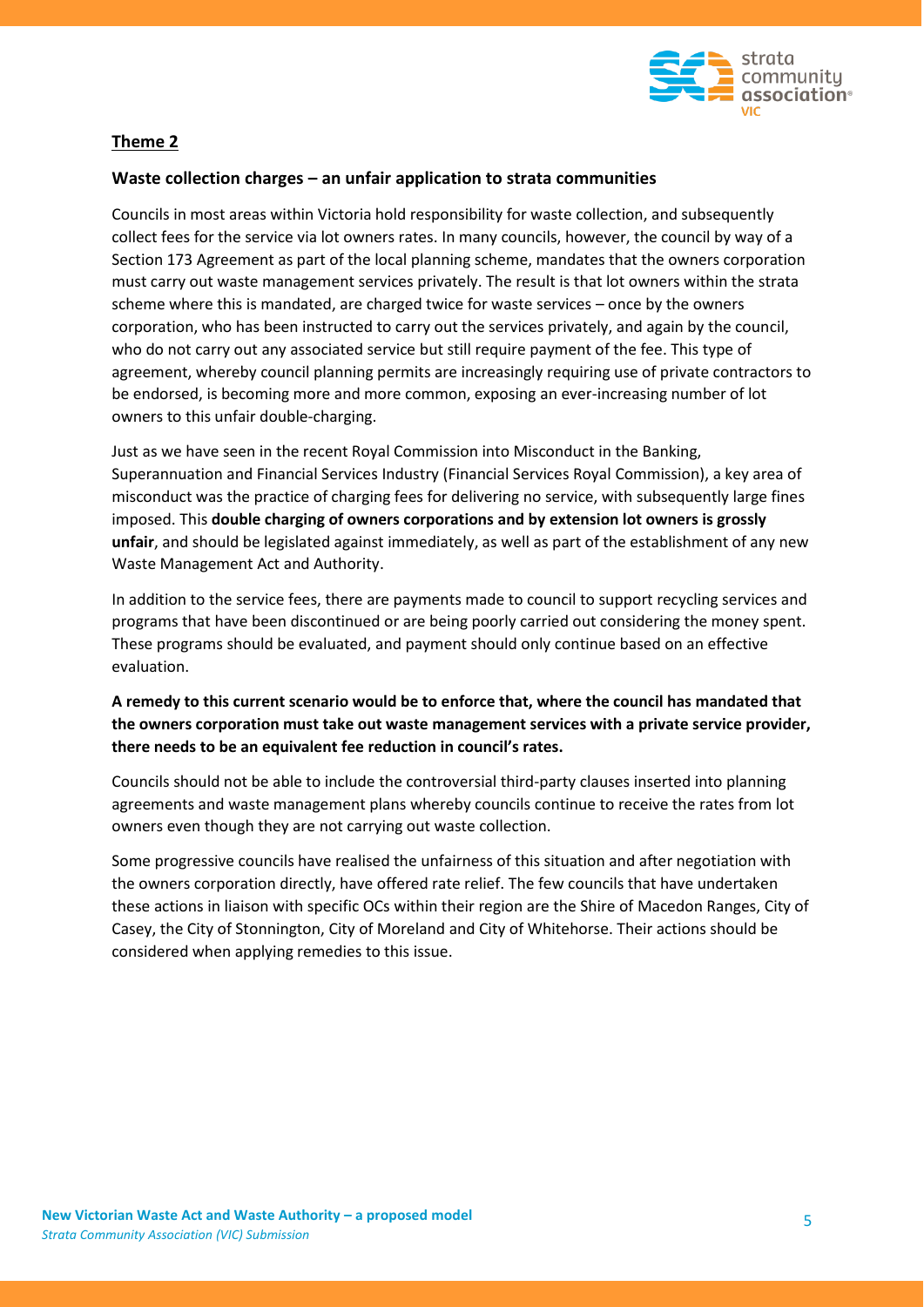

# **Theme 2**

#### **Waste collection charges – an unfair application to strata communities**

Councils in most areas within Victoria hold responsibility for waste collection, and subsequently collect fees for the service via lot owners rates. In many councils, however, the council by way of a Section 173 Agreement as part of the local planning scheme, mandates that the owners corporation must carry out waste management services privately. The result is that lot owners within the strata scheme where this is mandated, are charged twice for waste services – once by the owners corporation, who has been instructed to carry out the services privately, and again by the council, who do not carry out any associated service but still require payment of the fee. This type of agreement, whereby council planning permits are increasingly requiring use of private contractors to be endorsed, is becoming more and more common, exposing an ever-increasing number of lot owners to this unfair double-charging.

Just as we have seen in the recent Royal Commission into Misconduct in the Banking, Superannuation and Financial Services Industry (Financial Services Royal Commission), a key area of misconduct was the practice of charging fees for delivering no service, with subsequently large fines imposed. This **double charging of owners corporations and by extension lot owners is grossly unfair**, and should be legislated against immediately, as well as part of the establishment of any new Waste Management Act and Authority.

In addition to the service fees, there are payments made to council to support recycling services and programs that have been discontinued or are being poorly carried out considering the money spent. These programs should be evaluated, and payment should only continue based on an effective evaluation.

### **A remedy to this current scenario would be to enforce that, where the council has mandated that the owners corporation must take out waste management services with a private service provider, there needs to be an equivalent fee reduction in council's rates.**

Councils should not be able to include the controversial third-party clauses inserted into planning agreements and waste management plans whereby councils continue to receive the rates from lot owners even though they are not carrying out waste collection.

Some progressive councils have realised the unfairness of this situation and after negotiation with the owners corporation directly, have offered rate relief. The few councils that have undertaken these actions in liaison with specific OCs within their region are the Shire of Macedon Ranges, City of Casey, the City of Stonnington, City of Moreland and City of Whitehorse. Their actions should be considered when applying remedies to this issue.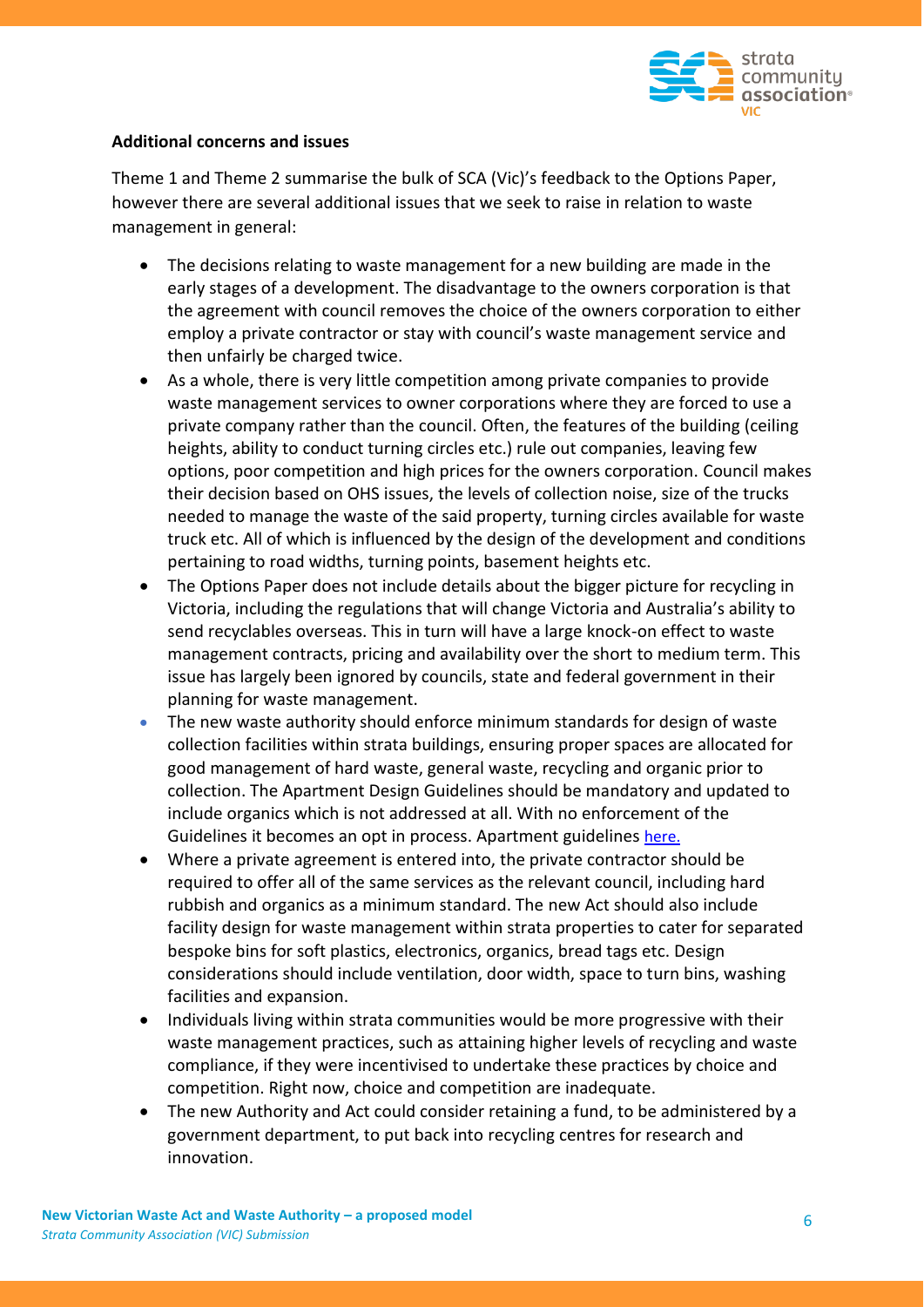

### **Additional concerns and issues**

Theme 1 and Theme 2 summarise the bulk of SCA (Vic)'s feedback to the Options Paper, however there are several additional issues that we seek to raise in relation to waste management in general:

- The decisions relating to waste management for a new building are made in the early stages of a development. The disadvantage to the owners corporation is that the agreement with council removes the choice of the owners corporation to either employ a private contractor or stay with council's waste management service and then unfairly be charged twice.
- As a whole, there is very little competition among private companies to provide waste management services to owner corporations where they are forced to use a private company rather than the council. Often, the features of the building (ceiling heights, ability to conduct turning circles etc.) rule out companies, leaving few options, poor competition and high prices for the owners corporation. Council makes their decision based on OHS issues, the levels of collection noise, size of the trucks needed to manage the waste of the said property, turning circles available for waste truck etc. All of which is influenced by the design of the development and conditions pertaining to road widths, turning points, basement heights etc.
- The Options Paper does not include details about the bigger picture for recycling in Victoria, including the regulations that will change Victoria and Australia's ability to send recyclables overseas. This in turn will have a large knock-on effect to waste management contracts, pricing and availability over the short to medium term. This issue has largely been ignored by councils, state and federal government in their planning for waste management.
- The new waste authority should enforce minimum standards for design of waste collection facilities within strata buildings, ensuring proper spaces are allocated for good management of hard waste, general waste, recycling and organic prior to collection. The Apartment Design Guidelines should be mandatory and updated to include organics which is not addressed at all. With no enforcement of the Guidelines it becomes an opt in process. Apartment guidelines [here.](https://www.planning.vic.gov.au/__data/assets/pdf_file/0030/80994/Apartment-Design-Guidelines-for-Victoria_August-2017.pdf)
- Where a private agreement is entered into, the private contractor should be required to offer all of the same services as the relevant council, including hard rubbish and organics as a minimum standard. The new Act should also include facility design for waste management within strata properties to cater for separated bespoke bins for soft plastics, electronics, organics, bread tags etc. Design considerations should include ventilation, door width, space to turn bins, washing facilities and expansion.
- Individuals living within strata communities would be more progressive with their waste management practices, such as attaining higher levels of recycling and waste compliance, if they were incentivised to undertake these practices by choice and competition. Right now, choice and competition are inadequate.
- The new Authority and Act could consider retaining a fund, to be administered by a government department, to put back into recycling centres for research and innovation.